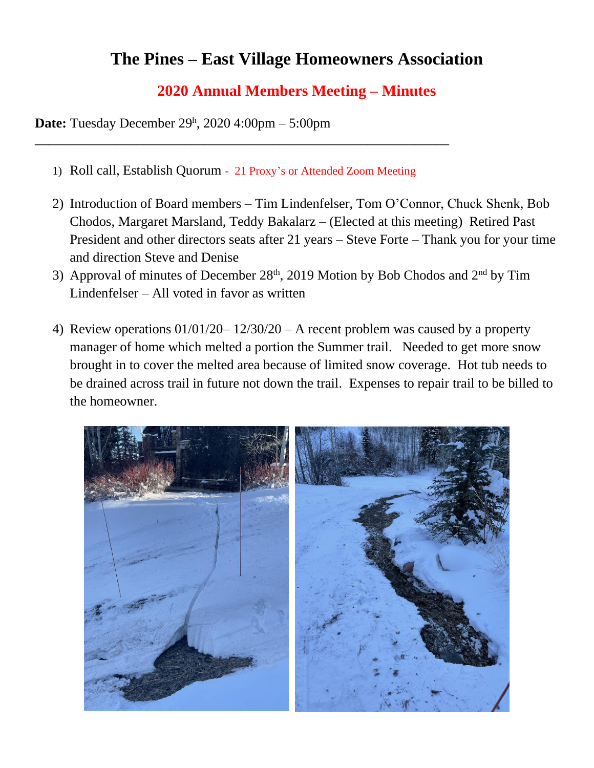## **The Pines – East Village Homeowners Association**

## **2020 Annual Members Meeting – Minutes**

**Date:** Tuesday December 29 h , 2020 4:00pm – 5:00pm

1) Roll call, Establish Quorum - 21 Proxy's or Attended Zoom Meeting

\_\_\_\_\_\_\_\_\_\_\_\_\_\_\_\_\_\_\_\_\_\_\_\_\_\_\_\_\_\_\_\_\_\_\_\_\_\_\_\_\_\_\_\_\_\_\_\_\_\_\_\_\_\_\_\_\_\_\_\_\_

- 2) Introduction of Board members Tim Lindenfelser, Tom O'Connor, Chuck Shenk, Bob Chodos, Margaret Marsland, Teddy Bakalarz – (Elected at this meeting) Retired Past President and other directors seats after 21 years – Steve Forte – Thank you for your time and direction Steve and Denise
- 3) Approval of minutes of December  $28<sup>th</sup>$ , 2019 Motion by Bob Chodos and  $2<sup>nd</sup>$  by Tim Lindenfelser – All voted in favor as written
- 4) Review operations 01/01/20– 12/30/20 A recent problem was caused by a property manager of home which melted a portion the Summer trail. Needed to get more snow brought in to cover the melted area because of limited snow coverage. Hot tub needs to be drained across trail in future not down the trail. Expenses to repair trail to be billed to the homeowner.

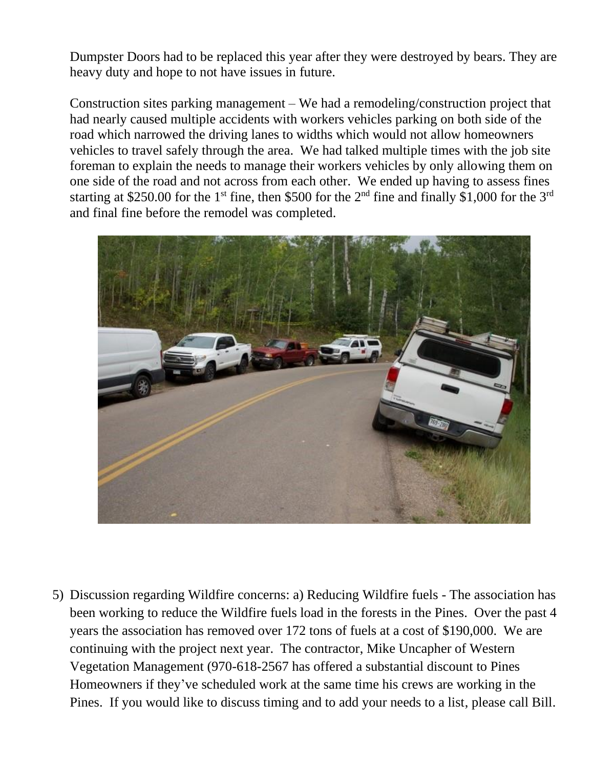Dumpster Doors had to be replaced this year after they were destroyed by bears. They are heavy duty and hope to not have issues in future.

Construction sites parking management – We had a remodeling/construction project that had nearly caused multiple accidents with workers vehicles parking on both side of the road which narrowed the driving lanes to widths which would not allow homeowners vehicles to travel safely through the area. We had talked multiple times with the job site foreman to explain the needs to manage their workers vehicles by only allowing them on one side of the road and not across from each other. We ended up having to assess fines starting at \$250.00 for the 1<sup>st</sup> fine, then \$500 for the 2<sup>nd</sup> fine and finally \$1,000 for the 3<sup>rd</sup> and final fine before the remodel was completed.



5) Discussion regarding Wildfire concerns: a) Reducing Wildfire fuels - The association has been working to reduce the Wildfire fuels load in the forests in the Pines. Over the past 4 years the association has removed over 172 tons of fuels at a cost of \$190,000. We are continuing with the project next year. The contractor, Mike Uncapher of Western Vegetation Management (970-618-2567 has offered a substantial discount to Pines Homeowners if they've scheduled work at the same time his crews are working in the Pines. If you would like to discuss timing and to add your needs to a list, please call Bill.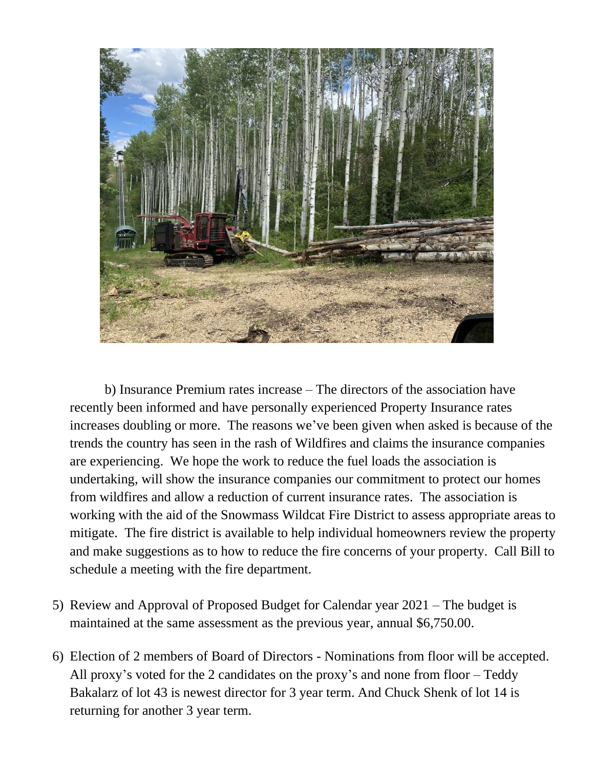

b) Insurance Premium rates increase – The directors of the association have recently been informed and have personally experienced Property Insurance rates increases doubling or more. The reasons we've been given when asked is because of the trends the country has seen in the rash of Wildfires and claims the insurance companies are experiencing. We hope the work to reduce the fuel loads the association is undertaking, will show the insurance companies our commitment to protect our homes from wildfires and allow a reduction of current insurance rates. The association is working with the aid of the Snowmass Wildcat Fire District to assess appropriate areas to mitigate. The fire district is available to help individual homeowners review the property and make suggestions as to how to reduce the fire concerns of your property. Call Bill to schedule a meeting with the fire department.

- 5) Review and Approval of Proposed Budget for Calendar year 2021 The budget is maintained at the same assessment as the previous year, annual \$6,750.00.
- 6) Election of 2 members of Board of Directors Nominations from floor will be accepted. All proxy's voted for the 2 candidates on the proxy's and none from floor – Teddy Bakalarz of lot 43 is newest director for 3 year term. And Chuck Shenk of lot 14 is returning for another 3 year term.